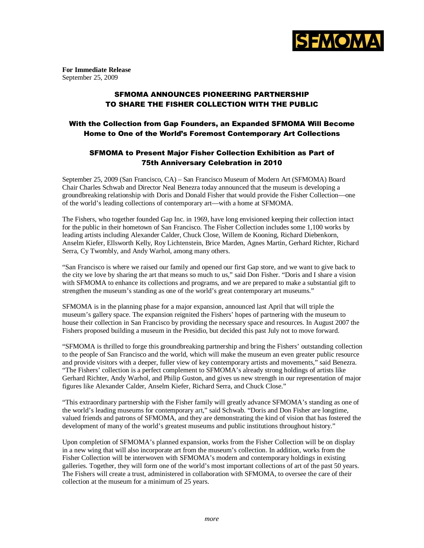

**For Immediate Release**  September 25, 2009

## SFMOMA ANNOUNCES PIONEERING PARTNERSHIP TO SHARE THE FISHER COLLECTION WITH THE PUBLIC

## With the Collection from Gap Founders, an Expanded SFMOMA Will Become Home to One of the World's Foremost Contemporary Art Collections

## SFMOMA to Present Major Fisher Collection Exhibition as Part of 75th Anniversary Celebration in 2010

September 25, 2009 (San Francisco, CA) – San Francisco Museum of Modern Art (SFMOMA) Board Chair Charles Schwab and Director Neal Benezra today announced that the museum is developing a groundbreaking relationship with Doris and Donald Fisher that would provide the Fisher Collection—one of the world's leading collections of contemporary art—with a home at SFMOMA.

The Fishers, who together founded Gap Inc. in 1969, have long envisioned keeping their collection intact for the public in their hometown of San Francisco. The Fisher Collection includes some 1,100 works by leading artists including Alexander Calder, Chuck Close, Willem de Kooning, Richard Diebenkorn, Anselm Kiefer, Ellsworth Kelly, Roy Lichtenstein, Brice Marden, Agnes Martin, Gerhard Richter, Richard Serra, Cy Twombly, and Andy Warhol, among many others.

"San Francisco is where we raised our family and opened our first Gap store, and we want to give back to the city we love by sharing the art that means so much to us," said Don Fisher. "Doris and I share a vision with SFMOMA to enhance its collections and programs, and we are prepared to make a substantial gift to strengthen the museum's standing as one of the world's great contemporary art museums."

SFMOMA is in the planning phase for a major expansion, announced last April that will triple the museum's gallery space. The expansion reignited the Fishers' hopes of partnering with the museum to house their collection in San Francisco by providing the necessary space and resources. In August 2007 the Fishers proposed building a museum in the Presidio, but decided this past July not to move forward.

"SFMOMA is thrilled to forge this groundbreaking partnership and bring the Fishers' outstanding collection to the people of San Francisco and the world, which will make the museum an even greater public resource and provide visitors with a deeper, fuller view of key contemporary artists and movements," said Benezra. "The Fishers' collection is a perfect complement to SFMOMA's already strong holdings of artists like Gerhard Richter, Andy Warhol, and Philip Guston, and gives us new strength in our representation of major figures like Alexander Calder, Anselm Kiefer, Richard Serra, and Chuck Close."

"This extraordinary partnership with the Fisher family will greatly advance SFMOMA's standing as one of the world's leading museums for contemporary art," said Schwab. "Doris and Don Fisher are longtime, valued friends and patrons of SFMOMA, and they are demonstrating the kind of vision that has fostered the development of many of the world's greatest museums and public institutions throughout history."

Upon completion of SFMOMA's planned expansion, works from the Fisher Collection will be on display in a new wing that will also incorporate art from the museum's collection. In addition, works from the Fisher Collection will be interwoven with SFMOMA's modern and contemporary holdings in existing galleries. Together, they will form one of the world's most important collections of art of the past 50 years. The Fishers will create a trust, administered in collaboration with SFMOMA, to oversee the care of their collection at the museum for a minimum of 25 years.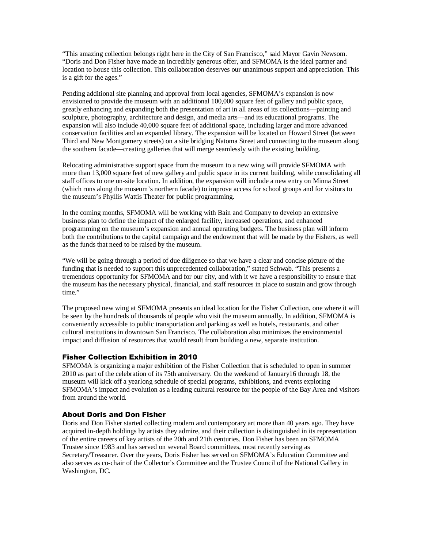"This amazing collection belongs right here in the City of San Francisco," said Mayor Gavin Newsom. "Doris and Don Fisher have made an incredibly generous offer, and SFMOMA is the ideal partner and location to house this collection. This collaboration deserves our unanimous support and appreciation. This is a gift for the ages."

Pending additional site planning and approval from local agencies, SFMOMA's expansion is now envisioned to provide the museum with an additional 100,000 square feet of gallery and public space, greatly enhancing and expanding both the presentation of art in all areas of its collections—painting and sculpture, photography, architecture and design, and media arts—and its educational programs. The expansion will also include 40,000 square feet of additional space, including larger and more advanced conservation facilities and an expanded library. The expansion will be located on Howard Street (between Third and New Montgomery streets) on a site bridging Natoma Street and connecting to the museum along the southern facade—creating galleries that will merge seamlessly with the existing building.

Relocating administrative support space from the museum to a new wing will provide SFMOMA with more than 13,000 square feet of new gallery and public space in its current building, while consolidating all staff offices to one on-site location. In addition, the expansion will include a new entry on Minna Street (which runs along the museum's northern facade) to improve access for school groups and for visitors to the museum's Phyllis Wattis Theater for public programming.

In the coming months, SFMOMA will be working with Bain and Company to develop an extensive business plan to define the impact of the enlarged facility, increased operations, and enhanced programming on the museum's expansion and annual operating budgets. The business plan will inform both the contributions to the capital campaign and the endowment that will be made by the Fishers, as well as the funds that need to be raised by the museum.

"We will be going through a period of due diligence so that we have a clear and concise picture of the funding that is needed to support this unprecedented collaboration," stated Schwab. "This presents a tremendous opportunity for SFMOMA and for our city, and with it we have a responsibility to ensure that the museum has the necessary physical, financial, and staff resources in place to sustain and grow through time."

The proposed new wing at SFMOMA presents an ideal location for the Fisher Collection, one where it will be seen by the hundreds of thousands of people who visit the museum annually. In addition, SFMOMA is conveniently accessible to public transportation and parking as well as hotels, restaurants, and other cultural institutions in downtown San Francisco. The collaboration also minimizes the environmental impact and diffusion of resources that would result from building a new, separate institution.

### Fisher Collection Exhibition in 2010

SFMOMA is organizing a major exhibition of the Fisher Collection that is scheduled to open in summer 2010 as part of the celebration of its 75th anniversary. On the weekend of January16 through 18, the museum will kick off a yearlong schedule of special programs, exhibitions, and events exploring SFMOMA's impact and evolution as a leading cultural resource for the people of the Bay Area and visitors from around the world.

### About Doris and Don Fisher

Doris and Don Fisher started collecting modern and contemporary art more than 40 years ago. They have acquired in-depth holdings by artists they admire, and their collection is distinguished in its representation of the entire careers of key artists of the 20th and 21th centuries. Don Fisher has been an SFMOMA Trustee since 1983 and has served on several Board committees, most recently serving as Secretary/Treasurer. Over the years, Doris Fisher has served on SFMOMA's Education Committee and also serves as co-chair of the Collector's Committee and the Trustee Council of the National Gallery in Washington, DC.